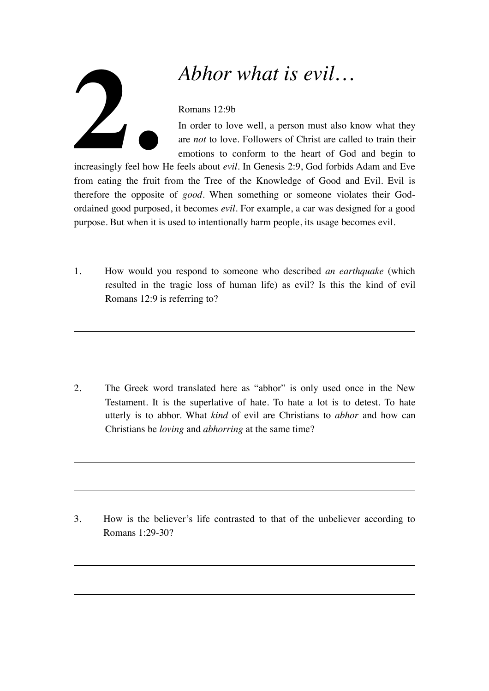## **2.**

## *Abhor what is evil…*

## Romans 12:9b

In order to love well, a person must also know what they are *not* to love. Followers of Christ are called to train their emotions to conform to the heart of God and begin to

increasingly feel how He feels about *evil*. In Genesis 2:9, God forbids Adam and Eve from eating the fruit from the Tree of the Knowledge of Good and Evil. Evil is therefore the opposite of *good*. When something or someone violates their Godordained good purposed, it becomes *evil*. For example, a car was designed for a good purpose. But when it is used to intentionally harm people, its usage becomes evil.

1. How would you respond to someone who described *an earthquake* (which resulted in the tragic loss of human life) as evil? Is this the kind of evil Romans 12:9 is referring to?

2. The Greek word translated here as "abhor" is only used once in the New Testament. It is the superlative of hate. To hate a lot is to detest. To hate utterly is to abhor. What *kind* of evil are Christians to *abhor* and how can Christians be *loving* and *abhorring* at the same time?

3. How is the believer's life contrasted to that of the unbeliever according to Romans 1:29-30?